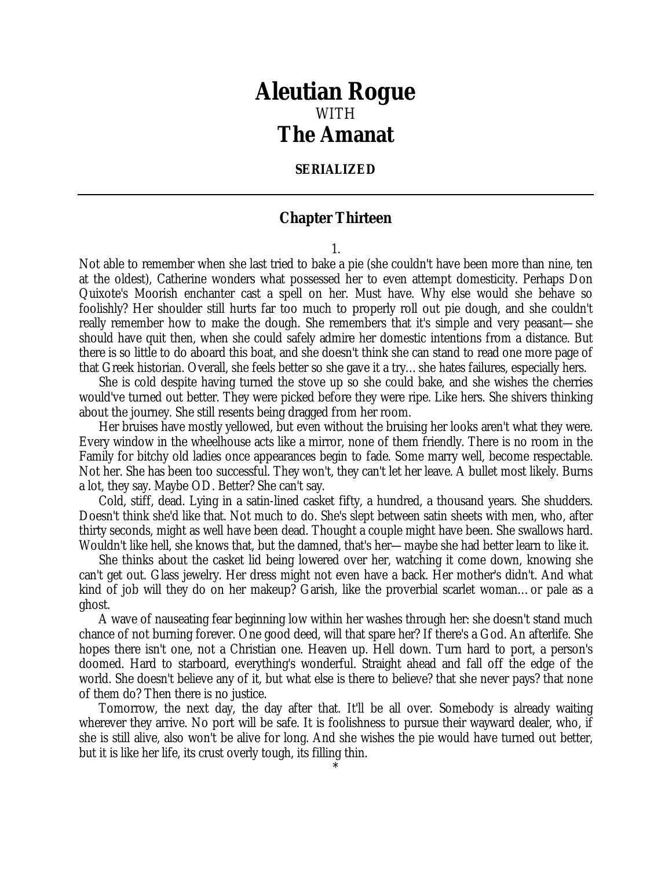## *Aleutian Rogue* WITH *The Amanat*

## **SERIALIZED**

## **Chapter Thirteen**

1.

Not able to remember when she last tried to bake a pie (she couldn't have been more than nine, ten at the oldest), Catherine wonders what possessed her to even attempt domesticity. Perhaps Don Quixote's Moorish enchanter cast a spell on her. Must have. Why else would she behave so foolishly? Her shoulder still hurts far too much to properly roll out pie dough, and she couldn't really remember how to make the dough. She remembers that it's simple and very peasant—she should have quit then, when she could safely admire her domestic intentions from a distance. But there is so little to do aboard this boat, and she doesn't think she can stand to read one more page of that Greek historian. Overall, she feels better so she gave it a try…she hates failures, especially hers.

She is cold despite having turned the stove up so she could bake, and she wishes the cherries would've turned out better. They were picked before they were ripe. Like hers. She shivers thinking about the journey. She still resents being dragged from her room.

Her bruises have mostly yellowed, but even without the bruising her looks aren't what they were. Every window in the wheelhouse acts like a mirror, none of them friendly. There is no room in the Family for bitchy old ladies once appearances begin to fade. Some marry well, become respectable. Not her. She has been too successful. They won't, they can't let her leave. A bullet most likely. Burns a lot, they say. Maybe OD. Better? She can't say.

Cold, stiff, dead. Lying in a satin-lined casket fifty, a hundred, a thousand years. She shudders. Doesn't think she'd like that. Not much to do. She's slept between satin sheets with men, who, after thirty seconds, might as well have been dead. Thought a couple might have been. She swallows hard. Wouldn't like hell, she knows that, but the damned, that's her—maybe she had better learn to like it.

She thinks about the casket lid being lowered over her, watching it come down, knowing she can't get out. Glass jewelry. Her dress might not even have a back. Her mother's didn't. And what kind of job will they do on her makeup? Garish, like the proverbial scarlet woman...or pale as a ghost.

A wave of nauseating fear beginning low within her washes through her: she doesn't stand much chance of not burning forever. One good deed, will that spare her? If there's a God. An afterlife. She hopes there isn't one, not a Christian one. Heaven up. Hell down. Turn hard to port, a person's doomed. Hard to starboard, everything's wonderful. Straight ahead and fall off the edge of the world. She doesn't believe any of it, but what else is there to believe? that she never pays? that none of them do? Then there is no justice.

Tomorrow, the next day, the day after that. It'll be all over. Somebody is already waiting wherever they arrive. No port will be safe. It is foolishness to pursue their wayward dealer, who, if she is still alive, also won't be alive for long. And she wishes the pie would have turned out better, but it is like her life, its crust overly tough, its filling thin.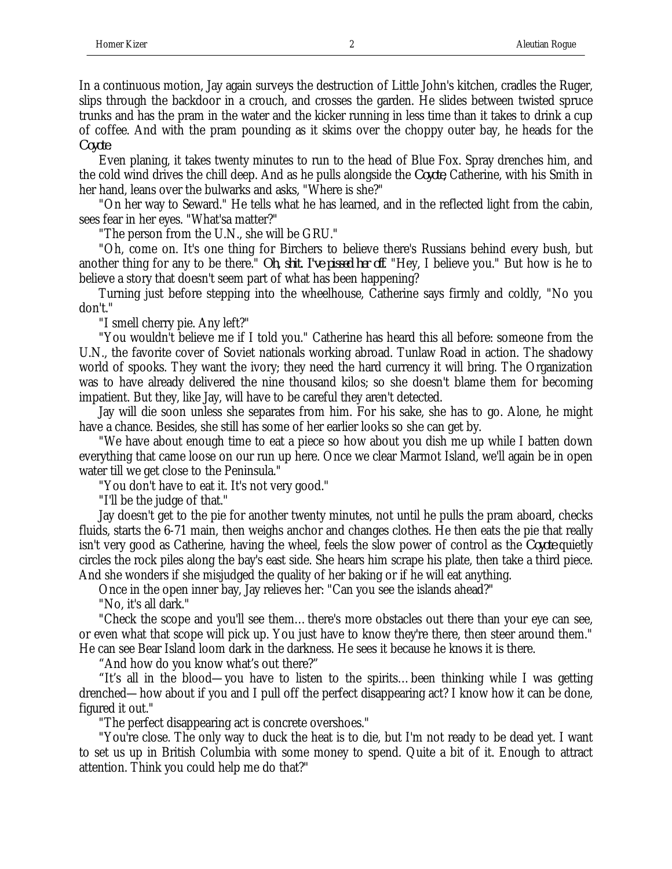In a continuous motion, Jay again surveys the destruction of Little John's kitchen, cradles the Ruger, slips through the backdoor in a crouch, and crosses the garden. He slides between twisted spruce trunks and has the pram in the water and the kicker running in less time than it takes to drink a cup of coffee. And with the pram pounding as it skims over the choppy outer bay, he heads for the *Coyote*.

Even planing, it takes twenty minutes to run to the head of Blue Fox. Spray drenches him, and the cold wind drives the chill deep. And as he pulls alongside the *Coyote*, Catherine, with his Smith in her hand, leans over the bulwarks and asks, "Where is she?"

"On her way to Seward." He tells what he has learned, and in the reflected light from the cabin, sees fear in her eyes. "What'sa matter?"

"The person from the U.N., she will be GRU."

"Oh, come on. It's one thing for Birchers to believe there's Russians behind every bush, but another thing for any to be there." *Oh, shit. I've pissed her off*. "Hey, I believe you." But how is he to believe a story that doesn't seem part of what has been happening?

Turning just before stepping into the wheelhouse, Catherine says firmly and coldly, "No you don't."

"I smell cherry pie. Any left?"

"You wouldn't believe me if I told you." Catherine has heard this all before: someone from the U.N., the favorite cover of Soviet nationals working abroad. Tunlaw Road in action. The shadowy world of spooks. They want the ivory; they need the hard currency it will bring. The Organization was to have already delivered the nine thousand kilos; so she doesn't blame them for becoming impatient. But they, like Jay, will have to be careful they aren't detected.

Jay will die soon unless she separates from him. For his sake, she has to go. Alone, he might have a chance. Besides, she still has some of her earlier looks so she can get by.

"We have about enough time to eat a piece so how about you dish me up while I batten down everything that came loose on our run up here. Once we clear Marmot Island, we'll again be in open water till we get close to the Peninsula."

"You don't have to eat it. It's not very good."

"I'll be the judge of that."

Jay doesn't get to the pie for another twenty minutes, not until he pulls the pram aboard, checks fluids, starts the 6-71 main, then weighs anchor and changes clothes. He then eats the pie that really isn't very good as Catherine, having the wheel, feels the slow power of control as the *Coyote* quietly circles the rock piles along the bay's east side. She hears him scrape his plate, then take a third piece. And she wonders if she misjudged the quality of her baking or if he will eat anything.

Once in the open inner bay, Jay relieves her: "Can you see the islands ahead?"

"No, it's all dark."

"Check the scope and you'll see them…there's more obstacles out there than your eye can see, or even what that scope will pick up. You just have to know they're there, then steer around them." He can see Bear Island loom dark in the darkness. He sees it because he knows it is there.

"And how do you know what's out there?"

"It's all in the blood—you have to listen to the spirits…been thinking while I was getting drenched—how about if you and I pull off the perfect disappearing act? I know how it can be done, figured it out."

"The perfect disappearing act is concrete overshoes."

"You're close. The only way to duck the heat is to die, but I'm not ready to be dead yet. I want to set us up in British Columbia with some money to spend. Quite a bit of it. Enough to attract attention. Think you could help me do that?"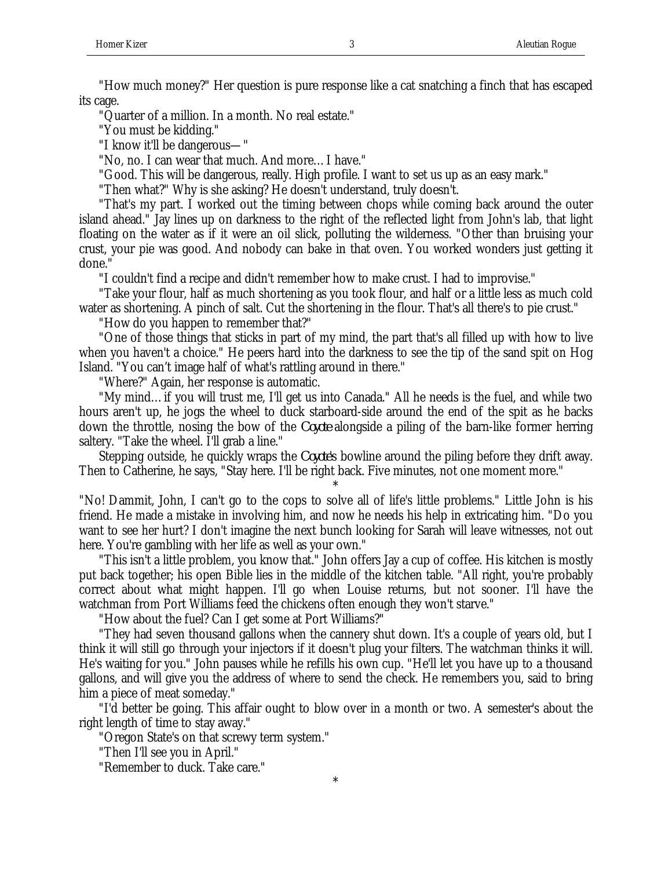"How much money?" Her question is pure response like a cat snatching a finch that has escaped its cage.

"Quarter of a million. In a month. No real estate."

"You must be kidding."

"I know it'll be dangerous—"

"No, no. I can wear that much. And more…I have."

"Good. This will be dangerous, really. High profile. I want to set us up as an easy mark."

"Then what?" Why is she asking? He doesn't understand, truly doesn't.

"That's my part. I worked out the timing between chops while coming back around the outer island ahead." Jay lines up on darkness to the right of the reflected light from John's lab, that light floating on the water as if it were an oil slick, polluting the wilderness. "Other than bruising your crust, your pie was good. And nobody can bake in that oven. You worked wonders just getting it done."

"I couldn't find a recipe and didn't remember how to make crust. I had to improvise."

"Take your flour, half as much shortening as you took flour, and half or a little less as much cold water as shortening. A pinch of salt. Cut the shortening in the flour. That's all there's to pie crust."

"How do you happen to remember that?"

"One of those things that sticks in part of my mind, the part that's all filled up with how to live when you haven't a choice." He peers hard into the darkness to see the tip of the sand spit on Hog Island. "You can't image half of what's rattling around in there."

"Where?" Again, her response is automatic.

"My mind…if you will trust me, I'll get us into Canada." All he needs is the fuel, and while two hours aren't up, he jogs the wheel to duck starboard-side around the end of the spit as he backs down the throttle, nosing the bow of the *Coyote* alongside a piling of the barn-like former herring saltery. "Take the wheel. I'll grab a line."

Stepping outside, he quickly wraps the *Coyote*'s bowline around the piling before they drift away. Then to Catherine, he says, "Stay here. I'll be right back. Five minutes, not one moment more."

\*

"No! Dammit, John, I can't go to the cops to solve all of life's little problems." Little John is his friend. He made a mistake in involving him, and now he needs his help in extricating him. "Do you want to see her hurt? I don't imagine the next bunch looking for Sarah will leave witnesses, not out here. You're gambling with her life as well as your own."

"This isn't a little problem, you know that." John offers Jay a cup of coffee. His kitchen is mostly put back together; his open Bible lies in the middle of the kitchen table. "All right, you're probably correct about what might happen. I'll go when Louise returns, but not sooner. I'll have the watchman from Port Williams feed the chickens often enough they won't starve."

"How about the fuel? Can I get some at Port Williams?"

"They had seven thousand gallons when the cannery shut down. It's a couple of years old, but I think it will still go through your injectors if it doesn't plug your filters. The watchman thinks it will. He's waiting for you." John pauses while he refills his own cup. "He'll let you have up to a thousand gallons, and will give you the address of where to send the check. He remembers you, said to bring him a piece of meat someday."

"I'd better be going. This affair ought to blow over in a month or two. A semester's about the right length of time to stay away."

\*

"Oregon State's on that screwy term system."

"Then I'll see you in April."

"Remember to duck. Take care."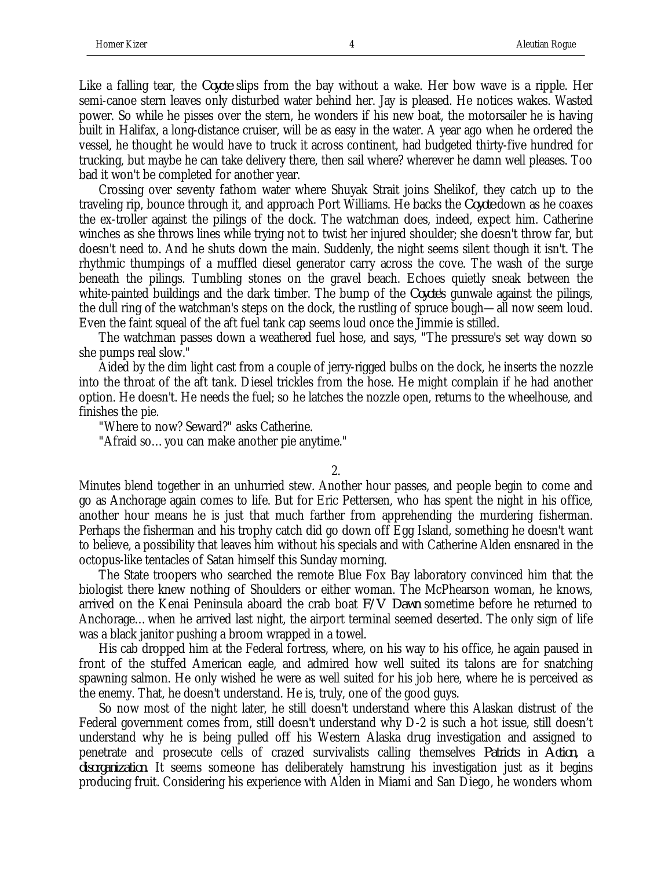Like a falling tear, the *Coyote* slips from the bay without a wake. Her bow wave is a ripple. Her semi-canoe stern leaves only disturbed water behind her. Jay is pleased. He notices wakes. Wasted power. So while he pisses over the stern, he wonders if his new boat, the motorsailer he is having built in Halifax, a long-distance cruiser, will be as easy in the water. A year ago when he ordered the vessel, he thought he would have to truck it across continent, had budgeted thirty-five hundred for trucking, but maybe he can take delivery there, then sail where? wherever he damn well pleases. Too bad it won't be completed for another year.

Crossing over seventy fathom water where Shuyak Strait joins Shelikof, they catch up to the traveling rip, bounce through it, and approach Port Williams. He backs the *Coyote* down as he coaxes the ex-troller against the pilings of the dock. The watchman does, indeed, expect him. Catherine winches as she throws lines while trying not to twist her injured shoulder; she doesn't throw far, but doesn't need to. And he shuts down the main. Suddenly, the night seems silent though it isn't. The rhythmic thumpings of a muffled diesel generator carry across the cove. The wash of the surge beneath the pilings. Tumbling stones on the gravel beach. Echoes quietly sneak between the white-painted buildings and the dark timber. The bump of the *Coyote*'s gunwale against the pilings, the dull ring of the watchman's steps on the dock, the rustling of spruce bough—all now seem loud. Even the faint squeal of the aft fuel tank cap seems loud once the Jimmie is stilled.

The watchman passes down a weathered fuel hose, and says, "The pressure's set way down so she pumps real slow."

Aided by the dim light cast from a couple of jerry-rigged bulbs on the dock, he inserts the nozzle into the throat of the aft tank. Diesel trickles from the hose. He might complain if he had another option. He doesn't. He needs the fuel; so he latches the nozzle open, returns to the wheelhouse, and finishes the pie.

"Where to now? Seward?" asks Catherine.

"Afraid so…you can make another pie anytime."

2.

Minutes blend together in an unhurried stew. Another hour passes, and people begin to come and go as Anchorage again comes to life. But for Eric Pettersen, who has spent the night in his office, another hour means he is just that much farther from apprehending the murdering fisherman. Perhaps the fisherman and his trophy catch did go down off Egg Island, something he doesn't want to believe, a possibility that leaves him without his specials and with Catherine Alden ensnared in the octopus-like tentacles of Satan himself this Sunday morning.

The State troopers who searched the remote Blue Fox Bay laboratory convinced him that the biologist there knew nothing of Shoulders or either woman. The McPhearson woman, he knows, arrived on the Kenai Peninsula aboard the crab boat *F/V Dawn* sometime before he returned to Anchorage…when he arrived last night, the airport terminal seemed deserted. The only sign of life was a black janitor pushing a broom wrapped in a towel.

His cab dropped him at the Federal fortress, where, on his way to his office, he again paused in front of the stuffed American eagle, and admired how well suited its talons are for snatching spawning salmon. He only wished he were as well suited for his job here, where he is perceived as the enemy. That, he doesn't understand. He is, truly, one of the good guys.

So now most of the night later, he still doesn't understand where this Alaskan distrust of the Federal government comes from, still doesn't understand why D-2 is such a hot issue, still doesn't understand why he is being pulled off his Western Alaska drug investigation and assigned to penetrate and prosecute cells of crazed survivalists calling themselves *Patriots in Action, a disorganization*. It seems someone has deliberately hamstrung his investigation just as it begins producing fruit. Considering his experience with Alden in Miami and San Diego, he wonders whom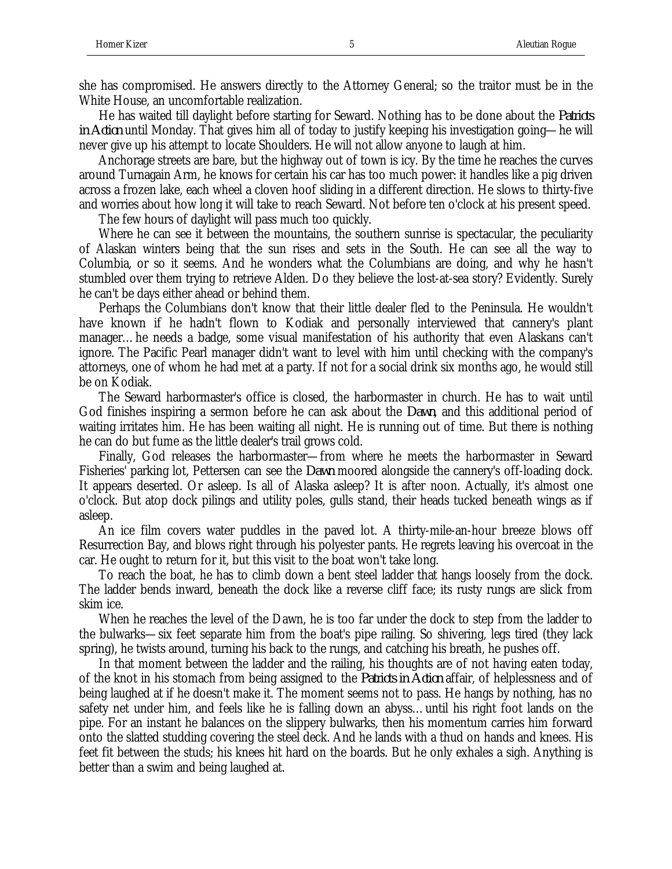she has compromised. He answers directly to the Attorney General; so the traitor must be in the White House, an uncomfortable realization.

He has waited till daylight before starting for Seward. Nothing has to be done about the *Patriots in Action* until Monday. That gives him all of today to justify keeping his investigation going—he will never give up his attempt to locate Shoulders. He will not allow anyone to laugh at him.

Anchorage streets are bare, but the highway out of town is icy. By the time he reaches the curves around Turnagain Arm, he knows for certain his car has too much power: it handles like a pig driven across a frozen lake, each wheel a cloven hoof sliding in a different direction. He slows to thirty-five and worries about how long it will take to reach Seward. Not before ten o'clock at his present speed.

The few hours of daylight will pass much too quickly.

Where he can see it between the mountains, the southern sunrise is spectacular, the peculiarity of Alaskan winters being that the sun rises and sets in the South. He can see all the way to Columbia, or so it seems. And he wonders what the Columbians are doing, and why he hasn't stumbled over them trying to retrieve Alden. Do they believe the lost-at-sea story? Evidently. Surely he can't be days either ahead or behind them.

Perhaps the Columbians don't know that their little dealer fled to the Peninsula. He wouldn't have known if he hadn't flown to Kodiak and personally interviewed that cannery's plant manager…he needs a badge, some visual manifestation of his authority that even Alaskans can't ignore. The Pacific Pearl manager didn't want to level with him until checking with the company's attorneys, one of whom he had met at a party. If not for a social drink six months ago, he would still be on Kodiak.

The Seward harbormaster's office is closed, the harbormaster in church. He has to wait until God finishes inspiring a sermon before he can ask about the *Dawn*, and this additional period of waiting irritates him. He has been waiting all night. He is running out of time. But there is nothing he can do but fume as the little dealer's trail grows cold.

Finally, God releases the harbormaster—from where he meets the harbormaster in Seward Fisheries' parking lot, Pettersen can see the *Dawn* moored alongside the cannery's off-loading dock. It appears deserted. Or asleep. Is all of Alaska asleep? It is after noon. Actually, it's almost one o'clock. But atop dock pilings and utility poles, gulls stand, their heads tucked beneath wings as if asleep.

An ice film covers water puddles in the paved lot. A thirty-mile-an-hour breeze blows off Resurrection Bay, and blows right through his polyester pants. He regrets leaving his overcoat in the car. He ought to return for it, but this visit to the boat won't take long.

To reach the boat, he has to climb down a bent steel ladder that hangs loosely from the dock. The ladder bends inward, beneath the dock like a reverse cliff face; its rusty rungs are slick from skim ice.

When he reaches the level of the Dawn, he is too far under the dock to step from the ladder to the bulwarks—six feet separate him from the boat's pipe railing. So shivering, legs tired (they lack spring), he twists around, turning his back to the rungs, and catching his breath, he pushes off.

In that moment between the ladder and the railing, his thoughts are of not having eaten today, of the knot in his stomach from being assigned to the *Patriots in Action* affair, of helplessness and of being laughed at if he doesn't make it. The moment seems not to pass. He hangs by nothing, has no safety net under him, and feels like he is falling down an abyss…until his right foot lands on the pipe. For an instant he balances on the slippery bulwarks, then his momentum carries him forward onto the slatted studding covering the steel deck. And he lands with a thud on hands and knees. His feet fit between the studs; his knees hit hard on the boards. But he only exhales a sigh. Anything is better than a swim and being laughed at.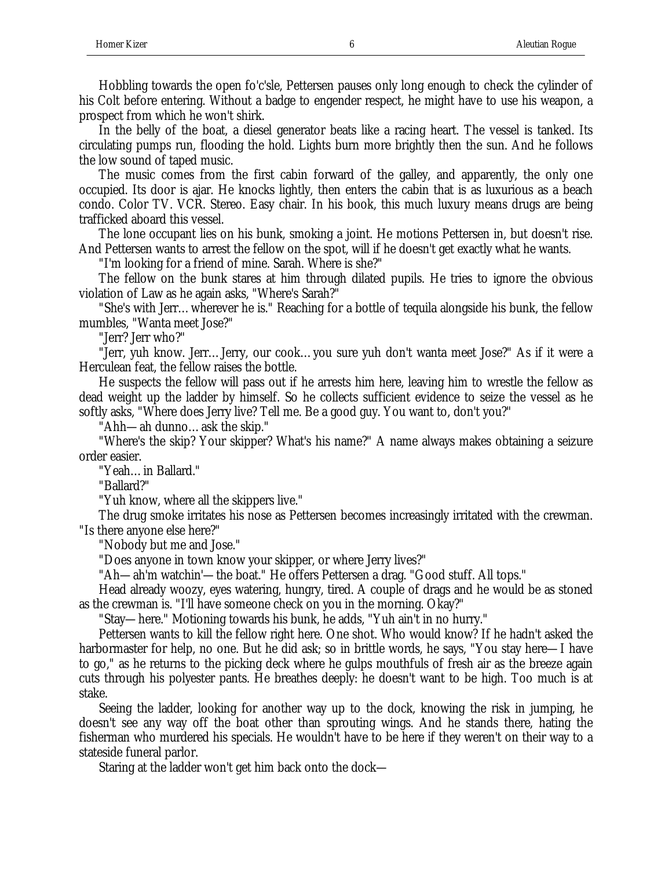Hobbling towards the open fo'c'sle, Pettersen pauses only long enough to check the cylinder of his Colt before entering. Without a badge to engender respect, he might have to use his weapon, a prospect from which he won't shirk.

In the belly of the boat, a diesel generator beats like a racing heart. The vessel is tanked. Its circulating pumps run, flooding the hold. Lights burn more brightly then the sun. And he follows the low sound of taped music.

The music comes from the first cabin forward of the galley, and apparently, the only one occupied. Its door is ajar. He knocks lightly, then enters the cabin that is as luxurious as a beach condo. Color TV. VCR. Stereo. Easy chair. In his book, this much luxury means drugs are being trafficked aboard this vessel.

The lone occupant lies on his bunk, smoking a joint. He motions Pettersen in, but doesn't rise. And Pettersen wants to arrest the fellow on the spot, will if he doesn't get exactly what he wants.

"I'm looking for a friend of mine. Sarah. Where is she?"

The fellow on the bunk stares at him through dilated pupils. He tries to ignore the obvious violation of Law as he again asks, "Where's Sarah?"

"She's with Jerr…wherever he is." Reaching for a bottle of tequila alongside his bunk, the fellow mumbles, "Wanta meet Jose?"

"Jerr? Jerr who?"

"Jerr, yuh know. Jerr…Jerry, our cook…you sure yuh don't wanta meet Jose?" As if it were a Herculean feat, the fellow raises the bottle.

He suspects the fellow will pass out if he arrests him here, leaving him to wrestle the fellow as dead weight up the ladder by himself. So he collects sufficient evidence to seize the vessel as he softly asks, "Where does Jerry live? Tell me. Be a good guy. You want to, don't you?"

"Ahh—ah dunno…ask the skip."

"Where's the skip? Your skipper? What's his name?" A name always makes obtaining a seizure order easier.

"Yeah…in Ballard."

"Ballard?"

"Yuh know, where all the skippers live."

The drug smoke irritates his nose as Pettersen becomes increasingly irritated with the crewman. "Is there anyone else here?"

"Nobody but me and Jose."

"Does anyone in town know your skipper, or where Jerry lives?"

"Ah—ah'm watchin'—the boat." He offers Pettersen a drag. "Good stuff. All tops."

Head already woozy, eyes watering, hungry, tired. A couple of drags and he would be as stoned as the crewman is. "I'll have someone check on you in the morning. Okay?"

"Stay—here." Motioning towards his bunk, he adds, "Yuh ain't in no hurry."

Pettersen wants to kill the fellow right here. One shot. Who would know? If he hadn't asked the harbormaster for help, no one. But he did ask; so in brittle words, he says, "You stay here—I have to go," as he returns to the picking deck where he gulps mouthfuls of fresh air as the breeze again cuts through his polyester pants. He breathes deeply: he doesn't want to be high. Too much is at stake.

Seeing the ladder, looking for another way up to the dock, knowing the risk in jumping, he doesn't see any way off the boat other than sprouting wings. And he stands there, hating the fisherman who murdered his specials. He wouldn't have to be here if they weren't on their way to a stateside funeral parlor.

Staring at the ladder won't get him back onto the dock—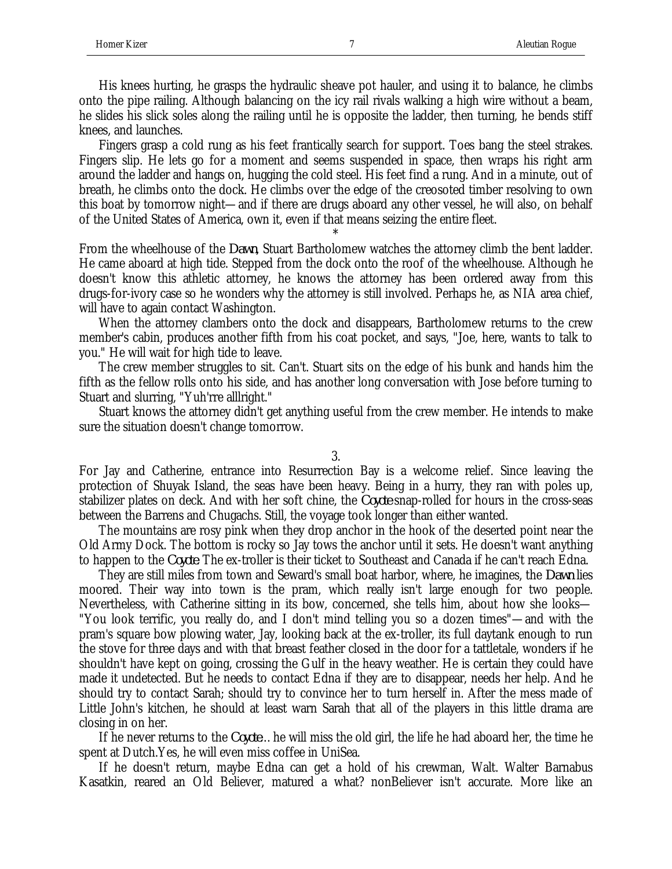His knees hurting, he grasps the hydraulic sheave pot hauler, and using it to balance, he climbs onto the pipe railing. Although balancing on the icy rail rivals walking a high wire without a beam, he slides his slick soles along the railing until he is opposite the ladder, then turning, he bends stiff knees, and launches.

Fingers grasp a cold rung as his feet frantically search for support. Toes bang the steel strakes. Fingers slip. He lets go for a moment and seems suspended in space, then wraps his right arm around the ladder and hangs on, hugging the cold steel. His feet find a rung. And in a minute, out of breath, he climbs onto the dock. He climbs over the edge of the creosoted timber resolving to own this boat by tomorrow night—and if there are drugs aboard any other vessel, he will also, on behalf of the United States of America, own it, even if that means seizing the entire fleet.

From the wheelhouse of the *Dawn*, Stuart Bartholomew watches the attorney climb the bent ladder. He came aboard at high tide. Stepped from the dock onto the roof of the wheelhouse. Although he doesn't know this athletic attorney, he knows the attorney has been ordered away from this drugs-for-ivory case so he wonders why the attorney is still involved. Perhaps he, as NIA area chief, will have to again contact Washington.

\*

When the attorney clambers onto the dock and disappears, Bartholomew returns to the crew member's cabin, produces another fifth from his coat pocket, and says, "Joe, here, wants to talk to you." He will wait for high tide to leave.

The crew member struggles to sit. Can't. Stuart sits on the edge of his bunk and hands him the fifth as the fellow rolls onto his side, and has another long conversation with Jose before turning to Stuart and slurring, "Yuh'rre alllright."

Stuart knows the attorney didn't get anything useful from the crew member. He intends to make sure the situation doesn't change tomorrow.

## 3.

For Jay and Catherine, entrance into Resurrection Bay is a welcome relief. Since leaving the protection of Shuyak Island, the seas have been heavy. Being in a hurry, they ran with poles up, stabilizer plates on deck. And with her soft chine, the *Coyote* snap-rolled for hours in the cross-seas between the Barrens and Chugachs. Still, the voyage took longer than either wanted.

The mountains are rosy pink when they drop anchor in the hook of the deserted point near the Old Army Dock. The bottom is rocky so Jay tows the anchor until it sets. He doesn't want anything to happen to the *Coyote*. The ex-troller is their ticket to Southeast and Canada if he can't reach Edna.

They are still miles from town and Seward's small boat harbor, where, he imagines, the *Dawn* lies moored. Their way into town is the pram, which really isn't large enough for two people. Nevertheless, with Catherine sitting in its bow, concerned, she tells him, about how she looks— "You look terrific, you really do, and I don't mind telling you so a dozen times"—and with the pram's square bow plowing water, Jay, looking back at the ex-troller, its full daytank enough to run the stove for three days and with that breast feather closed in the door for a tattletale, wonders if he shouldn't have kept on going, crossing the Gulf in the heavy weather. He is certain they could have made it undetected. But he needs to contact Edna if they are to disappear, needs her help. And he should try to contact Sarah; should try to convince her to turn herself in. After the mess made of Little John's kitchen, he should at least warn Sarah that all of the players in this little drama are closing in on her.

If he never returns to the *Coyote*…he will miss the old girl, the life he had aboard her, the time he spent at Dutch.Yes, he will even miss coffee in UniSea.

If he doesn't return, maybe Edna can get a hold of his crewman, Walt. Walter Barnabus Kasatkin, reared an Old Believer, matured a what? nonBeliever isn't accurate. More like an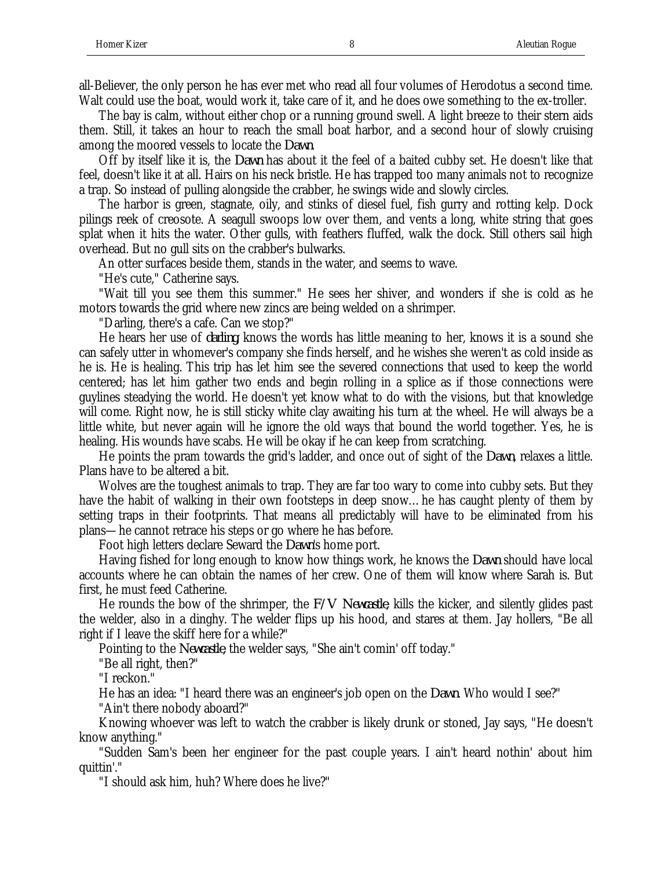all-Believer, the only person he has ever met who read all four volumes of Herodotus a second time. Walt could use the boat, would work it, take care of it, and he does owe something to the ex-troller.

The bay is calm, without either chop or a running ground swell. A light breeze to their stern aids them. Still, it takes an hour to reach the small boat harbor, and a second hour of slowly cruising among the moored vessels to locate the *Dawn*.

Off by itself like it is, the *Dawn* has about it the feel of a baited cubby set. He doesn't like that feel, doesn't like it at all. Hairs on his neck bristle. He has trapped too many animals not to recognize a trap. So instead of pulling alongside the crabber, he swings wide and slowly circles.

The harbor is green, stagnate, oily, and stinks of diesel fuel, fish gurry and rotting kelp. Dock pilings reek of creosote. A seagull swoops low over them, and vents a long, white string that goes splat when it hits the water. Other gulls, with feathers fluffed, walk the dock. Still others sail high overhead. But no gull sits on the crabber's bulwarks.

An otter surfaces beside them, stands in the water, and seems to wave.

"He's cute," Catherine says.

"Wait till you see them this summer." He sees her shiver, and wonders if she is cold as he motors towards the grid where new zincs are being welded on a shrimper.

"Darling, there's a cafe. Can we stop?"

He hears her use of *darling*, knows the words has little meaning to her, knows it is a sound she can safely utter in whomever's company she finds herself, and he wishes she weren't as cold inside as he is. He is healing. This trip has let him see the severed connections that used to keep the world centered; has let him gather two ends and begin rolling in a splice as if those connections were guylines steadying the world. He doesn't yet know what to do with the visions, but that knowledge will come. Right now, he is still sticky white clay awaiting his turn at the wheel. He will always be a little white, but never again will he ignore the old ways that bound the world together. Yes, he is healing. His wounds have scabs. He will be okay if he can keep from scratching.

He points the pram towards the grid's ladder, and once out of sight of the *Dawn*, relaxes a little. Plans have to be altered a bit.

Wolves are the toughest animals to trap. They are far too wary to come into cubby sets. But they have the habit of walking in their own footsteps in deep snow... he has caught plenty of them by setting traps in their footprints. That means all predictably will have to be eliminated from his plans—he cannot retrace his steps or go where he has before.

Foot high letters declare Seward the *Dawn*'s home port.

Having fished for long enough to know how things work, he knows the *Dawn* should have local accounts where he can obtain the names of her crew. One of them will know where Sarah is. But first, he must feed Catherine.

He rounds the bow of the shrimper, the *F/V Newcastle*, kills the kicker, and silently glides past the welder, also in a dinghy. The welder flips up his hood, and stares at them. Jay hollers, "Be all right if I leave the skiff here for a while?"

Pointing to the *Newcastle*, the welder says, "She ain't comin' off today."

"Be all right, then?"

"I reckon."

He has an idea: "I heard there was an engineer's job open on the *Dawn*. Who would I see?"

"Ain't there nobody aboard?"

Knowing whoever was left to watch the crabber is likely drunk or stoned, Jay says, "He doesn't know anything."

"Sudden Sam's been her engineer for the past couple years. I ain't heard nothin' about him quittin'."

"I should ask him, huh? Where does he live?"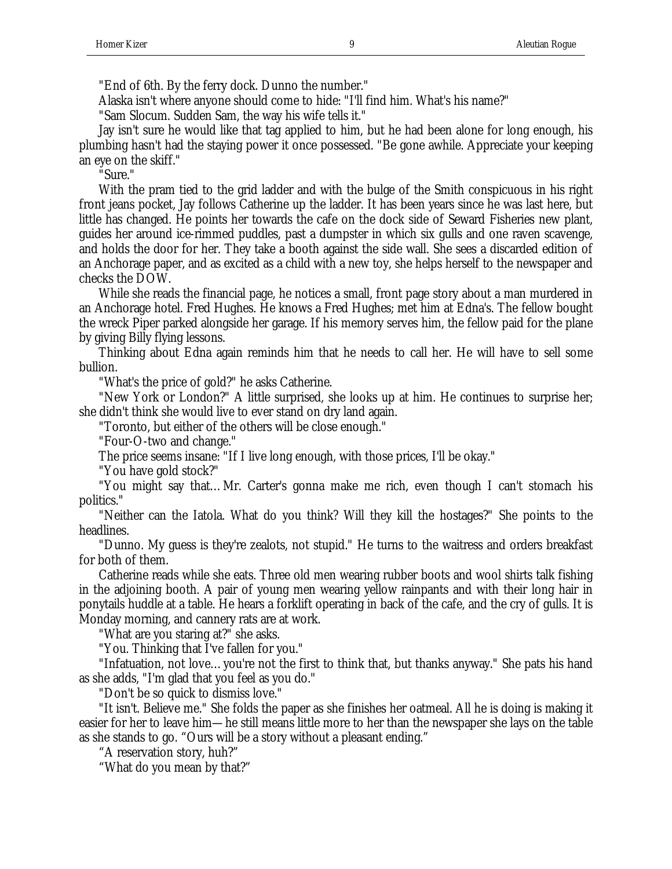"End of 6th. By the ferry dock. Dunno the number."

Alaska isn't where anyone should come to hide: "I'll find him. What's his name?"

"Sam Slocum. Sudden Sam, the way his wife tells it."

Jay isn't sure he would like that tag applied to him, but he had been alone for long enough, his plumbing hasn't had the staying power it once possessed. "Be gone awhile. Appreciate your keeping an eye on the skiff."

"Sure."

With the pram tied to the grid ladder and with the bulge of the Smith conspicuous in his right front jeans pocket, Jay follows Catherine up the ladder. It has been years since he was last here, but little has changed. He points her towards the cafe on the dock side of Seward Fisheries new plant, guides her around ice-rimmed puddles, past a dumpster in which six gulls and one raven scavenge, and holds the door for her. They take a booth against the side wall. She sees a discarded edition of an Anchorage paper, and as excited as a child with a new toy, she helps herself to the newspaper and checks the DOW.

While she reads the financial page, he notices a small, front page story about a man murdered in an Anchorage hotel. Fred Hughes. He knows a Fred Hughes; met him at Edna's. The fellow bought the wreck Piper parked alongside her garage. If his memory serves him, the fellow paid for the plane by giving Billy flying lessons.

Thinking about Edna again reminds him that he needs to call her. He will have to sell some bullion.

"What's the price of gold?" he asks Catherine.

"New York or London?" A little surprised, she looks up at him. He continues to surprise her; she didn't think she would live to ever stand on dry land again.

"Toronto, but either of the others will be close enough."

"Four-O-two and change."

The price seems insane: "If I live long enough, with those prices, I'll be okay."

"You have gold stock?"

"You might say that…Mr. Carter's gonna make me rich, even though I can't stomach his politics."

"Neither can the Iatola. What do you think? Will they kill the hostages?" She points to the headlines.

"Dunno. My guess is they're zealots, not stupid." He turns to the waitress and orders breakfast for both of them.

Catherine reads while she eats. Three old men wearing rubber boots and wool shirts talk fishing in the adjoining booth. A pair of young men wearing yellow rainpants and with their long hair in ponytails huddle at a table. He hears a forklift operating in back of the cafe, and the cry of gulls. It is Monday morning, and cannery rats are at work.

"What are you staring at?" she asks.

"You. Thinking that I've fallen for you."

"Infatuation, not love…you're not the first to think that, but thanks anyway." She pats his hand as she adds, "I'm glad that you feel as you do."

"Don't be so quick to dismiss love."

"It isn't. Believe me." She folds the paper as she finishes her oatmeal. All he is doing is making it easier for her to leave him—he still means little more to her than the newspaper she lays on the table as she stands to go. "Ours will be a story without a pleasant ending."

"A reservation story, huh?"

"What do you mean by that?"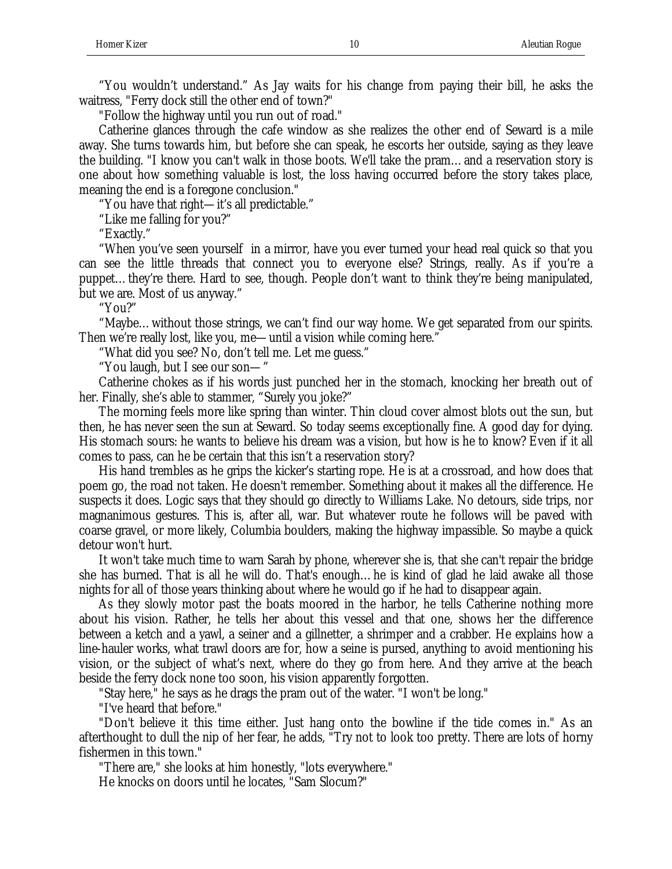"You wouldn't understand." As Jay waits for his change from paying their bill, he asks the waitress, "Ferry dock still the other end of town?"

"Follow the highway until you run out of road."

Catherine glances through the cafe window as she realizes the other end of Seward is a mile away. She turns towards him, but before she can speak, he escorts her outside, saying as they leave the building. "I know you can't walk in those boots. We'll take the pram…and a reservation story is one about how something valuable is lost, the loss having occurred before the story takes place, meaning the end is a foregone conclusion."

"You have that right—it's all predictable."

"Like me falling for you?"

"Exactly."

"When you've seen yourself in a mirror, have you ever turned your head real quick so that you can see the little threads that connect you to everyone else? Strings, really. As if you're a puppet…they're there. Hard to see, though. People don't want to think they're being manipulated, but we are. Most of us anyway."

"You?"

"Maybe…without those strings, we can't find our way home. We get separated from our spirits. Then we're really lost, like you, me—until a vision while coming here."

"What did you see? No, don't tell me. Let me guess."

"You laugh, but I see our son—"

Catherine chokes as if his words just punched her in the stomach, knocking her breath out of her. Finally, she's able to stammer, "Surely you joke?"

The morning feels more like spring than winter. Thin cloud cover almost blots out the sun, but then, he has never seen the sun at Seward. So today seems exceptionally fine. A good day for dying. His stomach sours: he wants to believe his dream was a vision, but how is he to know? Even if it all comes to pass, can he be certain that this isn't a reservation story?

His hand trembles as he grips the kicker's starting rope. He is at a crossroad, and how does that poem go, the road not taken. He doesn't remember. Something about it makes all the difference. He suspects it does. Logic says that they should go directly to Williams Lake. No detours, side trips, nor magnanimous gestures. This is, after all, war. But whatever route he follows will be paved with coarse gravel, or more likely, Columbia boulders, making the highway impassible. So maybe a quick detour won't hurt.

It won't take much time to warn Sarah by phone, wherever she is, that she can't repair the bridge she has burned. That is all he will do. That's enough…he is kind of glad he laid awake all those nights for all of those years thinking about where he would go if he had to disappear again.

As they slowly motor past the boats moored in the harbor, he tells Catherine nothing more about his vision. Rather, he tells her about this vessel and that one, shows her the difference between a ketch and a yawl, a seiner and a gillnetter, a shrimper and a crabber. He explains how a line-hauler works, what trawl doors are for, how a seine is pursed, anything to avoid mentioning his vision, or the subject of what's next, where do they go from here. And they arrive at the beach beside the ferry dock none too soon, his vision apparently forgotten.

"Stay here," he says as he drags the pram out of the water. "I won't be long."

"I've heard that before."

"Don't believe it this time either. Just hang onto the bowline if the tide comes in." As an afterthought to dull the nip of her fear, he adds, "Try not to look too pretty. There are lots of horny fishermen in this town."

"There are," she looks at him honestly, "lots everywhere."

He knocks on doors until he locates, "Sam Slocum?"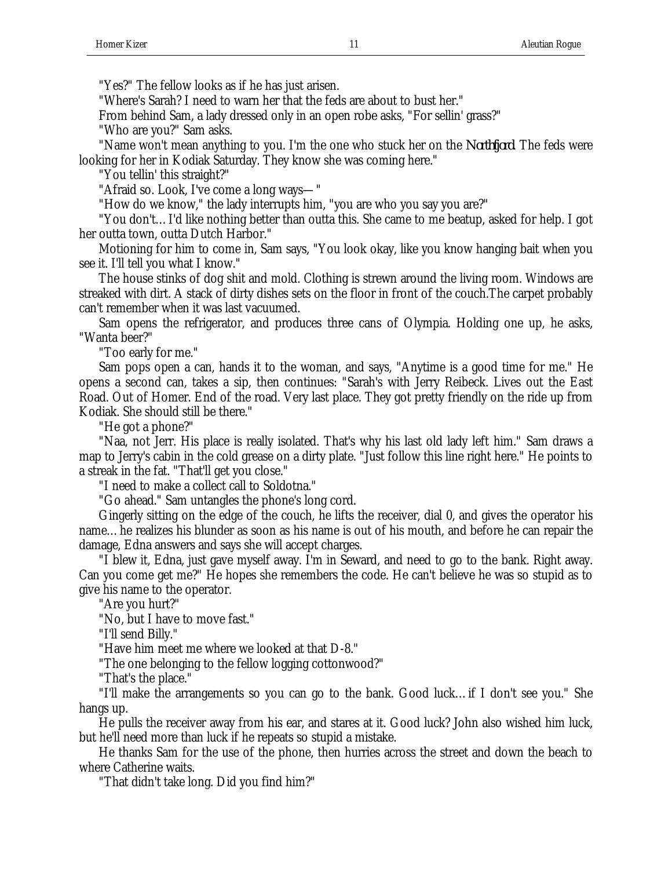"Yes?" The fellow looks as if he has just arisen.

"Where's Sarah? I need to warn her that the feds are about to bust her."

From behind Sam, a lady dressed only in an open robe asks, "For sellin' grass?"

"Who are you?" Sam asks.

"Name won't mean anything to you. I'm the one who stuck her on the *Northfjord*. The feds were looking for her in Kodiak Saturday. They know she was coming here."

"You tellin' this straight?"

"Afraid so. Look, I've come a long ways—"

"How do we know," the lady interrupts him, "you are who you say you are?"

"You don't…I'd like nothing better than outta this. She came to me beatup, asked for help. I got her outta town, outta Dutch Harbor."

Motioning for him to come in, Sam says, "You look okay, like you know hanging bait when you see it. I'll tell you what I know."

The house stinks of dog shit and mold. Clothing is strewn around the living room. Windows are streaked with dirt. A stack of dirty dishes sets on the floor in front of the couch.The carpet probably can't remember when it was last vacuumed.

Sam opens the refrigerator, and produces three cans of Olympia. Holding one up, he asks, "Wanta beer?"

"Too early for me."

Sam pops open a can, hands it to the woman, and says, "Anytime is a good time for me." He opens a second can, takes a sip, then continues: "Sarah's with Jerry Reibeck. Lives out the East Road. Out of Homer. End of the road. Very last place. They got pretty friendly on the ride up from Kodiak. She should still be there."

"He got a phone?"

"Naa, not Jerr. His place is really isolated. That's why his last old lady left him." Sam draws a map to Jerry's cabin in the cold grease on a dirty plate. "Just follow this line right here." He points to a streak in the fat. "That'll get you close."

"I need to make a collect call to Soldotna."

"Go ahead." Sam untangles the phone's long cord.

Gingerly sitting on the edge of the couch, he lifts the receiver, dial 0, and gives the operator his name…he realizes his blunder as soon as his name is out of his mouth, and before he can repair the damage, Edna answers and says she will accept charges.

"I blew it, Edna, just gave myself away. I'm in Seward, and need to go to the bank. Right away. Can you come get me?" He hopes she remembers the code. He can't believe he was so stupid as to give his name to the operator.

"Are you hurt?"

"No, but I have to move fast."

"I'll send Billy."

"Have him meet me where we looked at that D-8."

"The one belonging to the fellow logging cottonwood?"

"That's the place."

"I'll make the arrangements so you can go to the bank. Good luck…if I don't see you." She hangs up.

He pulls the receiver away from his ear, and stares at it. Good luck? John also wished him luck, but he'll need more than luck if he repeats so stupid a mistake.

He thanks Sam for the use of the phone, then hurries across the street and down the beach to where Catherine waits.

"That didn't take long. Did you find him?"